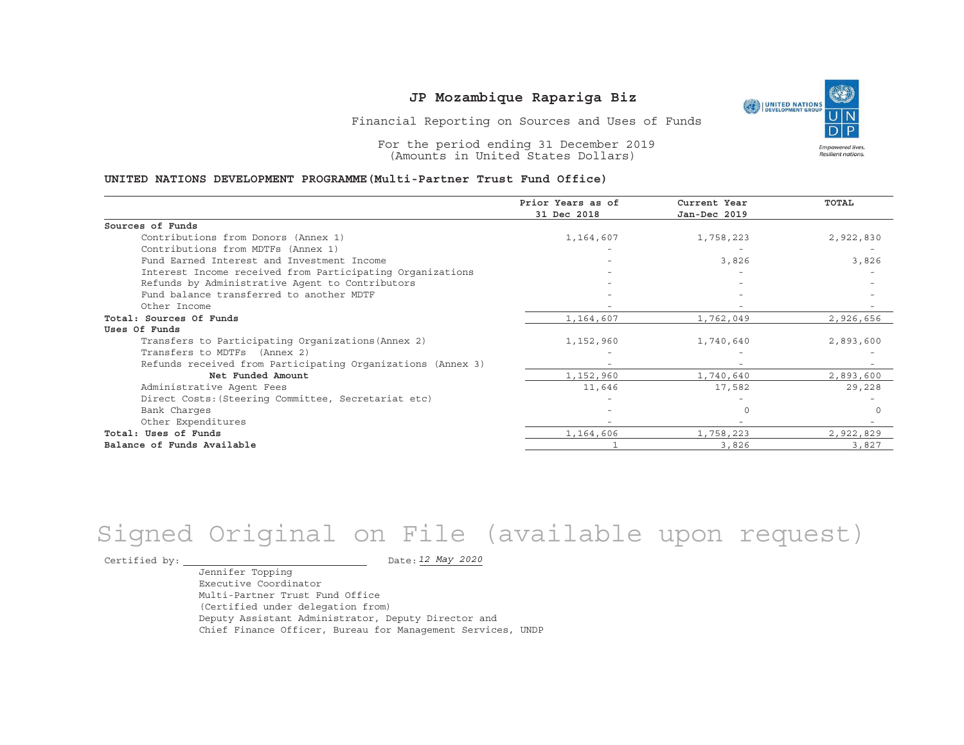

Financial Reporting on Sources and Uses of Funds

For the period ending 31 December 2019 (Amounts in United States Dollars)

#### **UNITED NATIONS DEVELOPMENT PROGRAMME(Multi-Partner Trust Fund Office)**

|                                                             | Prior Years as of<br>31 Dec 2018 | Current Year<br>Jan-Dec 2019 | TOTAL     |
|-------------------------------------------------------------|----------------------------------|------------------------------|-----------|
|                                                             |                                  |                              |           |
| Sources of Funds                                            |                                  |                              |           |
| Contributions from Donors (Annex 1)                         | 1,164,607                        | 1,758,223                    | 2,922,830 |
| Contributions from MDTFs (Annex 1)                          |                                  |                              |           |
| Fund Earned Interest and Investment Income                  |                                  | 3,826                        | 3,826     |
| Interest Income received from Participating Organizations   |                                  |                              |           |
| Refunds by Administrative Agent to Contributors             |                                  |                              |           |
| Fund balance transferred to another MDTF                    |                                  |                              |           |
| Other Income                                                |                                  |                              |           |
| Total: Sources Of Funds                                     | 1,164,607                        | 1,762,049                    | 2,926,656 |
| Uses Of Funds                                               |                                  |                              |           |
| Transfers to Participating Organizations (Annex 2)          | 1,152,960                        | 1,740,640                    | 2,893,600 |
| Transfers to MDTFs (Annex 2)                                |                                  |                              |           |
| Refunds received from Participating Organizations (Annex 3) |                                  |                              |           |
| Net Funded Amount                                           | 1,152,960                        | 1,740,640                    | 2,893,600 |
| Administrative Agent Fees                                   | 11,646                           | 17,582                       | 29,228    |
| Direct Costs: (Steering Committee, Secretariat etc)         |                                  |                              |           |
| Bank Charges                                                |                                  |                              |           |
| Other Expenditures                                          |                                  |                              |           |
| Total: Uses of Funds                                        | 1,164,606                        | 1,758,223                    | 2,922,829 |
| Balance of Funds Available                                  |                                  | 3,826                        | 3,827     |

# Signed Original on File (available upon request)

Certified by:  $\overline{\phantom{a}}$ 

*12 May 2020*

Jennifer Topping Executive CoordinatorMulti-Partner Trust Fund Office(Certified under delegation from) Deputy Assistant Administrator, Deputy Director and Chief Finance Officer, Bureau for Management Services, UNDP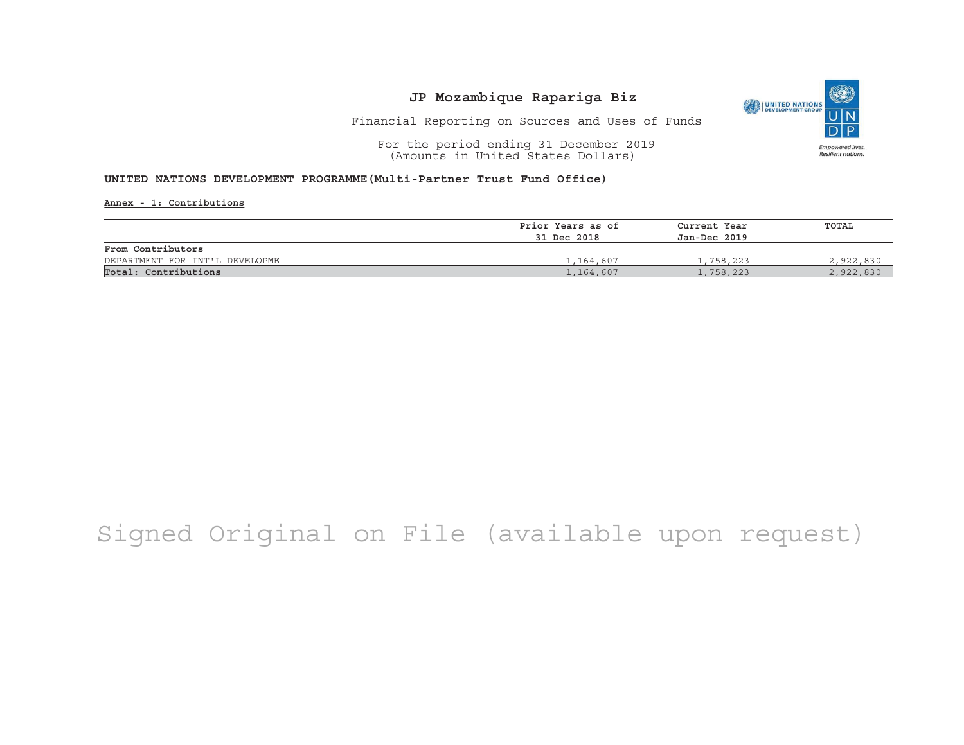

Financial Reporting on Sources and Uses of Funds

For the period ending 31 December 2019 (Amounts in United States Dollars)

### **UNITED NATIONS DEVELOPMENT PROGRAMME(Multi-Partner Trust Fund Office)**

**Annex - 1: Contributions**

|                                | Prior Years as of | Current Year<br>Jan-Dec 2019 | TOTAL     |  |
|--------------------------------|-------------------|------------------------------|-----------|--|
|                                | 31 Dec 2018       |                              |           |  |
| From Contributors              |                   |                              |           |  |
| DEPARTMENT FOR INT'L DEVELOPME | 1,164,607         | 1,758,223                    | 2,922,830 |  |
| Total: Contributions           | 1,164,607         | 1,758,223                    | 2,922,830 |  |

# Signed Original on File (available upon request)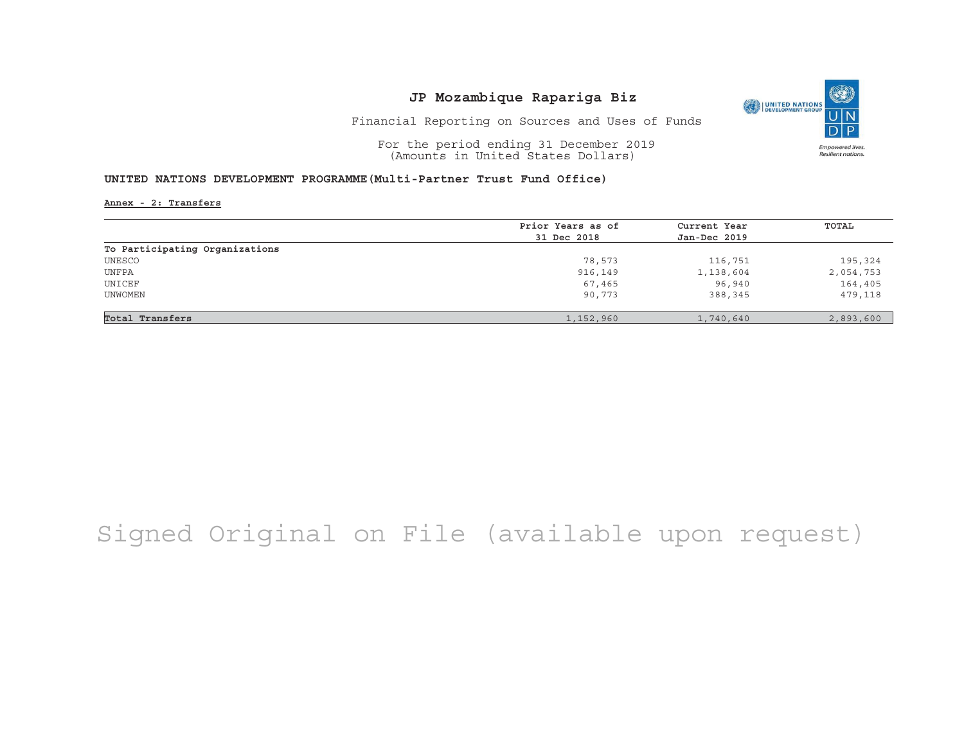

Financial Reporting on Sources and Uses of Funds

For the period ending 31 December 2019 (Amounts in United States Dollars)

### **UNITED NATIONS DEVELOPMENT PROGRAMME(Multi-Partner Trust Fund Office)**

**Annex - 2: Transfers**

|                                | Prior Years as of | Current Year | TOTAL     |
|--------------------------------|-------------------|--------------|-----------|
|                                | 31 Dec 2018       | Jan-Dec 2019 |           |
| To Participating Organizations |                   |              |           |
| UNESCO                         | 78,573            | 116,751      | 195,324   |
| UNFPA                          | 916,149           | 1,138,604    | 2,054,753 |
| UNICEF                         | 67,465            | 96,940       | 164,405   |
| UNWOMEN                        | 90,773            | 388,345      | 479,118   |
|                                |                   |              |           |
| Total Transfers                | 1,152,960         | 1,740,640    | 2,893,600 |

## Signed Original on File (available upon request)